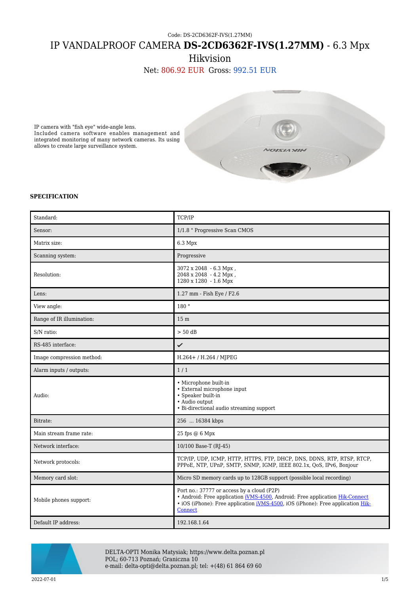## Code: DS-2CD6362F-IVS(1.27MM) IP VANDALPROOF CAMERA **DS-2CD6362F-IVS(1.27MM)** - 6.3 Mpx

Hikvision

Net: 806.92 EUR Gross: 992.51 EUR



IP camera with "fish eye" wide-angle lens. Included camera software enables management and integrated monitoring of many network cameras. Its using allows to create large surveillance system.

## **SPECIFICATION**

| Standard:                 | TCP/IP                                                                                                                                                                                                                                  |
|---------------------------|-----------------------------------------------------------------------------------------------------------------------------------------------------------------------------------------------------------------------------------------|
| Sensor:                   | 1/1.8 " Progressive Scan CMOS                                                                                                                                                                                                           |
| Matrix size:              | 6.3 Mpx                                                                                                                                                                                                                                 |
| Scanning system:          | Progressive                                                                                                                                                                                                                             |
| Resolution:               | 3072 x 2048 - 6.3 Mpx,<br>$2048 \times 2048 - 4.2$ Mpx,<br>1280 x 1280 - 1.6 Mpx                                                                                                                                                        |
| Lens:                     | 1.27 mm - Fish Eye / F2.6                                                                                                                                                                                                               |
| View angle:               | 180 °                                                                                                                                                                                                                                   |
| Range of IR illumination: | 15 <sub>m</sub>                                                                                                                                                                                                                         |
| S/N ratio:                | $> 50$ dB                                                                                                                                                                                                                               |
| RS-485 interface:         | ✓                                                                                                                                                                                                                                       |
| Image compression method: | $H.264 + / H.264 / M$ [PEG                                                                                                                                                                                                              |
| Alarm inputs / outputs:   | 1/1                                                                                                                                                                                                                                     |
| Audio:                    | • Microphone built-in<br>• External microphone input<br>• Speaker built-in<br>· Audio output<br>• Bi-directional audio streaming support                                                                                                |
| Bitrate:                  | 256  16384 kbps                                                                                                                                                                                                                         |
| Main stream frame rate:   | 25 fps @ 6 Mpx                                                                                                                                                                                                                          |
| Network interface:        | 10/100 Base-T (RJ-45)                                                                                                                                                                                                                   |
| Network protocols:        | TCP/IP, UDP, ICMP, HTTP, HTTPS, FTP, DHCP, DNS, DDNS, RTP, RTSP, RTCP,<br>PPPoE, NTP, UPnP, SMTP, SNMP, IGMP, IEEE 802.1x, QoS, IPv6, Bonjour                                                                                           |
| Memory card slot:         | Micro SD memory cards up to 128GB support (possible local recording)                                                                                                                                                                    |
| Mobile phones support:    | Port no.: 37777 or access by a cloud (P2P)<br>• Android: Free application iVMS-4500, Android: Free application Hik-Connect<br>• iOS (iPhone): Free application <i>iVMS-4500</i> , iOS (iPhone): Free application <i>Hik-</i><br>Connect |
| Default IP address:       | 192.168.1.64                                                                                                                                                                                                                            |



DELTA-OPTI Monika Matysiak; https://www.delta.poznan.pl POL; 60-713 Poznań; Graniczna 10 e-mail: delta-opti@delta.poznan.pl; tel: +(48) 61 864 69 60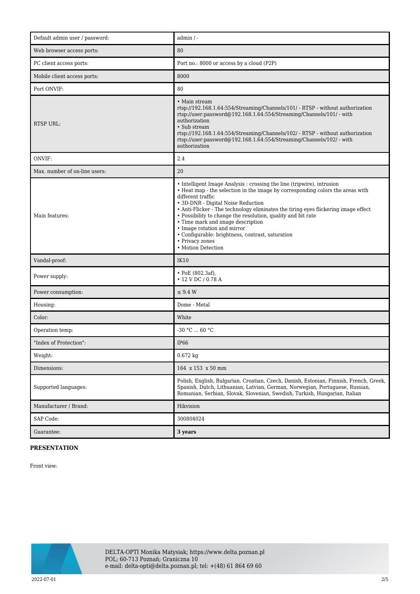| Default admin user / password: | $admin / -$                                                                                                                                                                                                                                                                                                                                                                                                                                                                                                                                |
|--------------------------------|--------------------------------------------------------------------------------------------------------------------------------------------------------------------------------------------------------------------------------------------------------------------------------------------------------------------------------------------------------------------------------------------------------------------------------------------------------------------------------------------------------------------------------------------|
| Web browser access ports:      | 80                                                                                                                                                                                                                                                                                                                                                                                                                                                                                                                                         |
| PC client access ports:        | Port no.: 8000 or access by a cloud (P2P)                                                                                                                                                                                                                                                                                                                                                                                                                                                                                                  |
| Mobile client access ports:    | 8000                                                                                                                                                                                                                                                                                                                                                                                                                                                                                                                                       |
| Port ONVIF:                    | 80                                                                                                                                                                                                                                                                                                                                                                                                                                                                                                                                         |
| <b>RTSP URL:</b>               | • Main stream<br>rtsp://192.168.1.64:554/Streaming/Channels/101/ - RTSP - without authorization<br>rtsp://user.password@192.168.1.64:554/Streaming/Channels/101/ - with<br>authorization<br>• Sub stream<br>rtsp://192.168.1.64:554/Streaming/Channels/102/ - RTSP - without authorization<br>rtsp://user.password@192.168.1.64:554/Streaming/Channels/102/ - with<br>authorization                                                                                                                                                        |
| ONVIF:                         | 2.4                                                                                                                                                                                                                                                                                                                                                                                                                                                                                                                                        |
| Max. number of on-line users:  | 20                                                                                                                                                                                                                                                                                                                                                                                                                                                                                                                                         |
| Main features:                 | • Intelligent Image Analysis : crossing the line (tripwire), intrusion<br>• Heat map - the selection in the image by corresponding colors the areas with<br>different traffic<br>• 3D-DNR - Digital Noise Reduction<br>• Anti-Flicker - The technology eliminates the tiring eyes flickering image effect<br>• Possibility to change the resolution, quality and bit rate<br>• Time mark and image description<br>• Image rotation and mirror<br>• Configurable: brightness, contrast, saturation<br>• Privacy zones<br>• Motion Detection |
| Vandal-proof:                  | <b>IK10</b>                                                                                                                                                                                                                                                                                                                                                                                                                                                                                                                                |
| Power supply:                  | $\cdot$ PoE (802.3af),<br>$\cdot$ 12 V DC / 0.78 A                                                                                                                                                                                                                                                                                                                                                                                                                                                                                         |
| Power consumption:             | $\leq$ 9.4 W                                                                                                                                                                                                                                                                                                                                                                                                                                                                                                                               |
| Housing:                       | Dome - Metal                                                                                                                                                                                                                                                                                                                                                                                                                                                                                                                               |
| Color:                         | White                                                                                                                                                                                                                                                                                                                                                                                                                                                                                                                                      |
| Operation temp:                | $-30 °C$ 60 °C                                                                                                                                                                                                                                                                                                                                                                                                                                                                                                                             |
| "Index of Protection":         | <b>IP66</b>                                                                                                                                                                                                                                                                                                                                                                                                                                                                                                                                |
| Weight:                        | $0.672$ kg                                                                                                                                                                                                                                                                                                                                                                                                                                                                                                                                 |
| Dimensions:                    | 164 x 153 x 50 mm                                                                                                                                                                                                                                                                                                                                                                                                                                                                                                                          |
| Supported languages:           | Polish, English, Bulgarian, Croatian, Czech, Danish, Estonian, Finnish, French, Greek,<br>Spanish, Dutch, Lithuanian, Latvian, German, Norwegian, Portuguese, Russian,<br>Romanian, Serbian, Slovak, Slovenian, Swedish, Turkish, Hungarian, Italian                                                                                                                                                                                                                                                                                       |
| Manufacturer / Brand:          | Hikvision                                                                                                                                                                                                                                                                                                                                                                                                                                                                                                                                  |
| SAP Code:                      | 300804024                                                                                                                                                                                                                                                                                                                                                                                                                                                                                                                                  |
| Guarantee:                     | 3 years                                                                                                                                                                                                                                                                                                                                                                                                                                                                                                                                    |

## **PRESENTATION**

Front view:

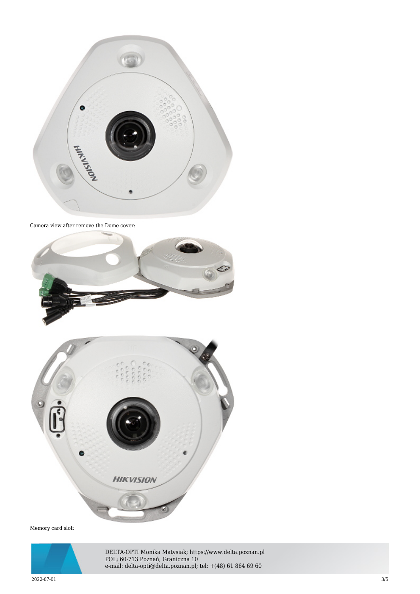

Camera view after remove the Dome cover:





Memory card slot:



DELTA-OPTI Monika Matysiak; https://www.delta.poznan.pl POL; 60-713 Poznań; Graniczna 10 e-mail: delta-opti@delta.poznan.pl; tel: +(48) 61 864 69 60

2022-07-01 3/5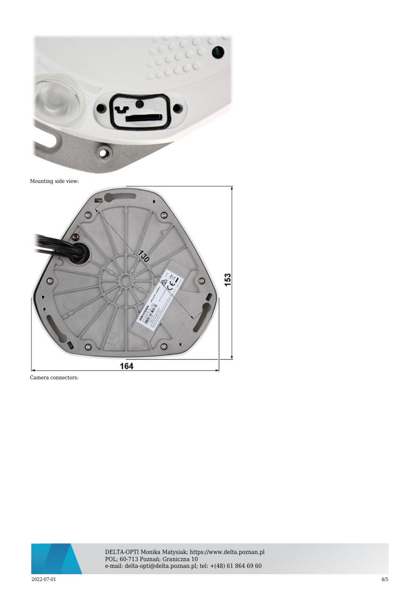

Mounting side view:



Camera connectors:



DELTA-OPTI Monika Matysiak; https://www.delta.poznan.pl POL; 60-713 Poznań; Graniczna 10 e-mail: delta-opti@delta.poznan.pl; tel: +(48) 61 864 69 60

2022-07-01 4/5